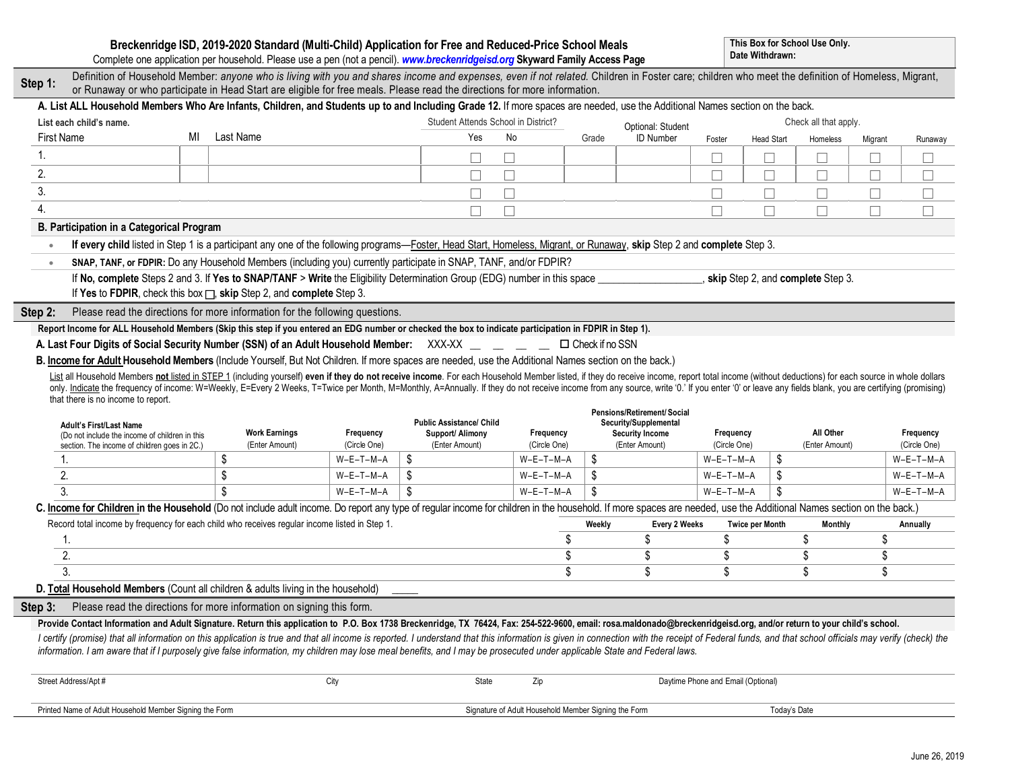|                                                                                                                                                                                                                                                                                                                                                                                                                                                                  |                                                                                                                                                                                                                                                                                                                                                                                                                                                                                                                                                                                                                                     |                                                                                                                                                      |                                        |                           | Breckenridge ISD, 2019-2020 Standard (Multi-Child) Application for Free and Reduced-Price School Meals<br>Complete one application per household. Please use a pen (not a pencil). www.breckenridgeisd.org Skyward Family Access Page |                                                      |                                          |                                    | Date Withdrawn:           | This Box for School Use Only. |                             |         |                           |
|------------------------------------------------------------------------------------------------------------------------------------------------------------------------------------------------------------------------------------------------------------------------------------------------------------------------------------------------------------------------------------------------------------------------------------------------------------------|-------------------------------------------------------------------------------------------------------------------------------------------------------------------------------------------------------------------------------------------------------------------------------------------------------------------------------------------------------------------------------------------------------------------------------------------------------------------------------------------------------------------------------------------------------------------------------------------------------------------------------------|------------------------------------------------------------------------------------------------------------------------------------------------------|----------------------------------------|---------------------------|---------------------------------------------------------------------------------------------------------------------------------------------------------------------------------------------------------------------------------------|------------------------------------------------------|------------------------------------------|------------------------------------|---------------------------|-------------------------------|-----------------------------|---------|---------------------------|
| Step 1:                                                                                                                                                                                                                                                                                                                                                                                                                                                          | Definition of Household Member: anyone who is living with you and shares income and expenses, even if not related. Children in Foster care; children who meet the definition of Homeless, Migrant,<br>or Runaway or who participate in Head Start are eligible for free meals. Please read the directions for more information.                                                                                                                                                                                                                                                                                                     |                                                                                                                                                      |                                        |                           |                                                                                                                                                                                                                                       |                                                      |                                          |                                    |                           |                               |                             |         |                           |
|                                                                                                                                                                                                                                                                                                                                                                                                                                                                  | A. List ALL Household Members Who Are Infants, Children, and Students up to and Including Grade 12. If more spaces are needed, use the Additional Names section on the back.                                                                                                                                                                                                                                                                                                                                                                                                                                                        |                                                                                                                                                      |                                        |                           |                                                                                                                                                                                                                                       |                                                      |                                          |                                    |                           |                               |                             |         |                           |
|                                                                                                                                                                                                                                                                                                                                                                                                                                                                  | List each child's name.                                                                                                                                                                                                                                                                                                                                                                                                                                                                                                                                                                                                             |                                                                                                                                                      |                                        |                           | Student Attends School in District?                                                                                                                                                                                                   |                                                      |                                          | Optional: Student                  |                           | Check all that apply.         |                             |         |                           |
|                                                                                                                                                                                                                                                                                                                                                                                                                                                                  | <b>First Name</b>                                                                                                                                                                                                                                                                                                                                                                                                                                                                                                                                                                                                                   | MI                                                                                                                                                   | Last Name                              |                           | Yes                                                                                                                                                                                                                                   | No                                                   | Grade                                    | <b>ID Number</b>                   | Foster                    | <b>Head Start</b>             | Homeless                    | Migrant | Runaway                   |
| 1.                                                                                                                                                                                                                                                                                                                                                                                                                                                               |                                                                                                                                                                                                                                                                                                                                                                                                                                                                                                                                                                                                                                     |                                                                                                                                                      |                                        |                           | □                                                                                                                                                                                                                                     |                                                      |                                          |                                    |                           |                               |                             | П       | $\Box$                    |
| 2.                                                                                                                                                                                                                                                                                                                                                                                                                                                               |                                                                                                                                                                                                                                                                                                                                                                                                                                                                                                                                                                                                                                     |                                                                                                                                                      |                                        |                           | $\Box$<br>Ш                                                                                                                                                                                                                           |                                                      |                                          |                                    | L                         |                               | ⊔                           | $\Box$  | $\Box$                    |
| 3.                                                                                                                                                                                                                                                                                                                                                                                                                                                               |                                                                                                                                                                                                                                                                                                                                                                                                                                                                                                                                                                                                                                     |                                                                                                                                                      |                                        |                           | $\Box$                                                                                                                                                                                                                                |                                                      |                                          |                                    |                           | $\Box$                        | $\Box$                      | □       | $\Box$                    |
| 4.                                                                                                                                                                                                                                                                                                                                                                                                                                                               |                                                                                                                                                                                                                                                                                                                                                                                                                                                                                                                                                                                                                                     |                                                                                                                                                      |                                        |                           | П                                                                                                                                                                                                                                     |                                                      |                                          |                                    |                           |                               | $\Box$                      | $\Box$  | Г                         |
|                                                                                                                                                                                                                                                                                                                                                                                                                                                                  | B. Participation in a Categorical Program                                                                                                                                                                                                                                                                                                                                                                                                                                                                                                                                                                                           |                                                                                                                                                      |                                        |                           |                                                                                                                                                                                                                                       |                                                      |                                          |                                    |                           |                               |                             |         |                           |
|                                                                                                                                                                                                                                                                                                                                                                                                                                                                  | If every child listed in Step 1 is a participant any one of the following programs—Foster, Head Start, Homeless, Migrant, or Runaway, skip Step 2 and complete Step 3.                                                                                                                                                                                                                                                                                                                                                                                                                                                              |                                                                                                                                                      |                                        |                           |                                                                                                                                                                                                                                       |                                                      |                                          |                                    |                           |                               |                             |         |                           |
| $\bullet$                                                                                                                                                                                                                                                                                                                                                                                                                                                        | SNAP, TANF, or FDPIR: Do any Household Members (including you) currently participate in SNAP, TANF, and/or FDPIR?                                                                                                                                                                                                                                                                                                                                                                                                                                                                                                                   |                                                                                                                                                      |                                        |                           |                                                                                                                                                                                                                                       |                                                      |                                          |                                    |                           |                               |                             |         |                           |
|                                                                                                                                                                                                                                                                                                                                                                                                                                                                  | If No, complete Steps 2 and 3. If Yes to SNAP/TANF > Write the Eligibility Determination Group (EDG) number in this space _______________________, skip Step 2, and complete Step 3.                                                                                                                                                                                                                                                                                                                                                                                                                                                |                                                                                                                                                      |                                        |                           |                                                                                                                                                                                                                                       |                                                      |                                          |                                    |                           |                               |                             |         |                           |
|                                                                                                                                                                                                                                                                                                                                                                                                                                                                  | If Yes to FDPIR, check this box $\Box$ , skip Step 2, and complete Step 3.                                                                                                                                                                                                                                                                                                                                                                                                                                                                                                                                                          |                                                                                                                                                      |                                        |                           |                                                                                                                                                                                                                                       |                                                      |                                          |                                    |                           |                               |                             |         |                           |
| Step 2:                                                                                                                                                                                                                                                                                                                                                                                                                                                          | Please read the directions for more information for the following questions.                                                                                                                                                                                                                                                                                                                                                                                                                                                                                                                                                        |                                                                                                                                                      |                                        |                           |                                                                                                                                                                                                                                       |                                                      |                                          |                                    |                           |                               |                             |         |                           |
|                                                                                                                                                                                                                                                                                                                                                                                                                                                                  | Report Income for ALL Household Members (Skip this step if you entered an EDG number or checked the box to indicate participation in FDPIR in Step 1).                                                                                                                                                                                                                                                                                                                                                                                                                                                                              |                                                                                                                                                      |                                        |                           |                                                                                                                                                                                                                                       |                                                      |                                          |                                    |                           |                               |                             |         |                           |
|                                                                                                                                                                                                                                                                                                                                                                                                                                                                  | A. Last Four Digits of Social Security Number (SSN) of an Adult Household Member: XXX-XX _ _ _ _ _ _ D Check if no SSN                                                                                                                                                                                                                                                                                                                                                                                                                                                                                                              |                                                                                                                                                      |                                        |                           |                                                                                                                                                                                                                                       |                                                      |                                          |                                    |                           |                               |                             |         |                           |
|                                                                                                                                                                                                                                                                                                                                                                                                                                                                  |                                                                                                                                                                                                                                                                                                                                                                                                                                                                                                                                                                                                                                     | B. Income for Adult Household Members (Include Yourself, But Not Children. If more spaces are needed, use the Additional Names section on the back.) |                                        |                           |                                                                                                                                                                                                                                       |                                                      |                                          |                                    |                           |                               |                             |         |                           |
| List all Household Members not listed in STEP 1 (including yourself) even if they do not receive income. For each Household Member listed, if they do receive income, report total income (without deductions) for each source<br>only. Indicate the frequency of income: W=Weekly, E=Every 2 Weeks, T=Twice per Month, M=Monthly, A=Annually. If they do not receive income from any source, write '0.' If you enter '0' or leave any fields blank, you are cer |                                                                                                                                                                                                                                                                                                                                                                                                                                                                                                                                                                                                                                     |                                                                                                                                                      |                                        |                           |                                                                                                                                                                                                                                       |                                                      |                                          |                                    |                           |                               |                             |         |                           |
|                                                                                                                                                                                                                                                                                                                                                                                                                                                                  |                                                                                                                                                                                                                                                                                                                                                                                                                                                                                                                                                                                                                                     |                                                                                                                                                      |                                        |                           |                                                                                                                                                                                                                                       |                                                      |                                          |                                    |                           |                               |                             |         |                           |
|                                                                                                                                                                                                                                                                                                                                                                                                                                                                  |                                                                                                                                                                                                                                                                                                                                                                                                                                                                                                                                                                                                                                     |                                                                                                                                                      |                                        |                           |                                                                                                                                                                                                                                       |                                                      |                                          |                                    |                           |                               |                             |         |                           |
|                                                                                                                                                                                                                                                                                                                                                                                                                                                                  | that there is no income to report.                                                                                                                                                                                                                                                                                                                                                                                                                                                                                                                                                                                                  |                                                                                                                                                      |                                        |                           |                                                                                                                                                                                                                                       |                                                      | Pensions/Retirement/Social               |                                    |                           |                               |                             |         |                           |
|                                                                                                                                                                                                                                                                                                                                                                                                                                                                  | <b>Adult's First/Last Name</b>                                                                                                                                                                                                                                                                                                                                                                                                                                                                                                                                                                                                      |                                                                                                                                                      |                                        |                           | <b>Public Assistance/ Child</b>                                                                                                                                                                                                       |                                                      | Security/Supplemental                    |                                    |                           |                               |                             |         |                           |
|                                                                                                                                                                                                                                                                                                                                                                                                                                                                  | (Do not include the income of children in this<br>section. The income of children goes in 2C.)                                                                                                                                                                                                                                                                                                                                                                                                                                                                                                                                      |                                                                                                                                                      | <b>Work Earnings</b><br>(Enter Amount) | Frequency<br>(Circle One) | Support/ Alimony<br>(Enter Amount)                                                                                                                                                                                                    | Frequency<br>(Circle One)                            | <b>Security Income</b><br>(Enter Amount) |                                    | Frequency<br>(Circle One) |                               | All Other<br>(Enter Amount) |         | Frequency<br>(Circle One) |
|                                                                                                                                                                                                                                                                                                                                                                                                                                                                  | 1.                                                                                                                                                                                                                                                                                                                                                                                                                                                                                                                                                                                                                                  |                                                                                                                                                      | \$                                     | $W-E-T-M-A$               | \$                                                                                                                                                                                                                                    | $W-E-T-M-A$                                          | \$                                       |                                    | $W-E-T-M-A$               | \$                            |                             |         | $W-E-T-M-A$               |
|                                                                                                                                                                                                                                                                                                                                                                                                                                                                  | 2.                                                                                                                                                                                                                                                                                                                                                                                                                                                                                                                                                                                                                                  |                                                                                                                                                      | \$                                     | W-E-T-M-A                 | \$                                                                                                                                                                                                                                    | $W-E-T-M-A$                                          | \$                                       |                                    | $W-E-T-M-A$               | \$                            |                             |         | $W-E-T-M-A$               |
|                                                                                                                                                                                                                                                                                                                                                                                                                                                                  | 3.                                                                                                                                                                                                                                                                                                                                                                                                                                                                                                                                                                                                                                  |                                                                                                                                                      |                                        | $W-E-T-M-A$               | \$                                                                                                                                                                                                                                    | $W-E-T-M-A$                                          | \$.                                      |                                    | $W-E-T-M-A$               | \$.                           |                             |         | $W-E-T-M-A$               |
|                                                                                                                                                                                                                                                                                                                                                                                                                                                                  | C. Income for Children in the Household (Do not include adult income. Do report any type of regular income for children in the household. If more spaces are needed, use the Additional Names section on the back.)                                                                                                                                                                                                                                                                                                                                                                                                                 |                                                                                                                                                      |                                        |                           |                                                                                                                                                                                                                                       |                                                      |                                          |                                    |                           |                               |                             |         |                           |
|                                                                                                                                                                                                                                                                                                                                                                                                                                                                  | Record total income by frequency for each child who receives regular income listed in Step 1.                                                                                                                                                                                                                                                                                                                                                                                                                                                                                                                                       |                                                                                                                                                      |                                        |                           |                                                                                                                                                                                                                                       |                                                      | Weekly                                   | Every 2 Weeks                      | <b>Twice per Month</b>    |                               | <b>Monthly</b>              |         | Annually                  |
|                                                                                                                                                                                                                                                                                                                                                                                                                                                                  | 1.                                                                                                                                                                                                                                                                                                                                                                                                                                                                                                                                                                                                                                  |                                                                                                                                                      |                                        |                           |                                                                                                                                                                                                                                       | \$                                                   | \$                                       |                                    | \$                        | \$                            |                             | \$      |                           |
|                                                                                                                                                                                                                                                                                                                                                                                                                                                                  | 2.                                                                                                                                                                                                                                                                                                                                                                                                                                                                                                                                                                                                                                  |                                                                                                                                                      |                                        |                           |                                                                                                                                                                                                                                       | \$                                                   | \$                                       |                                    | \$                        | \$                            |                             | \$      |                           |
|                                                                                                                                                                                                                                                                                                                                                                                                                                                                  | 3.                                                                                                                                                                                                                                                                                                                                                                                                                                                                                                                                                                                                                                  |                                                                                                                                                      |                                        |                           |                                                                                                                                                                                                                                       | \$                                                   | \$                                       |                                    | \$                        | \$                            |                             | \$      |                           |
|                                                                                                                                                                                                                                                                                                                                                                                                                                                                  | D. Total Household Members (Count all children & adults living in the household)                                                                                                                                                                                                                                                                                                                                                                                                                                                                                                                                                    |                                                                                                                                                      |                                        |                           |                                                                                                                                                                                                                                       |                                                      |                                          |                                    |                           |                               |                             |         |                           |
|                                                                                                                                                                                                                                                                                                                                                                                                                                                                  | Step 3: Please read the directions for more information on signing this form.                                                                                                                                                                                                                                                                                                                                                                                                                                                                                                                                                       |                                                                                                                                                      |                                        |                           |                                                                                                                                                                                                                                       |                                                      |                                          |                                    |                           |                               |                             |         |                           |
|                                                                                                                                                                                                                                                                                                                                                                                                                                                                  | Provide Contact Information and Adult Signature. Return this application to P.O. Box 1738 Breckenridge, TX 76424, Fax: 254-522-9600, email: rosa.maldonado@breckenridgeisd.org, and/or return to your child's school.<br>I certify (promise) that all information on this application is true and that all income is reported. I understand that this information is given in connection with the receipt of Federal funds, and that school officials m<br>information. I am aware that if I purposely give false information, my children may lose meal benefits, and I may be prosecuted under applicable State and Federal laws. |                                                                                                                                                      |                                        |                           |                                                                                                                                                                                                                                       |                                                      |                                          |                                    |                           |                               |                             |         |                           |
|                                                                                                                                                                                                                                                                                                                                                                                                                                                                  | Street Address/Apt #                                                                                                                                                                                                                                                                                                                                                                                                                                                                                                                                                                                                                |                                                                                                                                                      |                                        | City                      | State                                                                                                                                                                                                                                 | Zip                                                  |                                          | Daytime Phone and Email (Optional) |                           |                               |                             |         |                           |
|                                                                                                                                                                                                                                                                                                                                                                                                                                                                  | Printed Name of Adult Household Member Signing the Form                                                                                                                                                                                                                                                                                                                                                                                                                                                                                                                                                                             |                                                                                                                                                      |                                        |                           |                                                                                                                                                                                                                                       | Signature of Adult Household Member Signing the Form |                                          |                                    |                           | Today's Date                  |                             |         |                           |

 $\overline{\phantom{a}}$ 

 $\overline{\phantom{a}}$ 

 $\overline{\phantom{a}}$ 

 $\overline{\phantom{a}}$